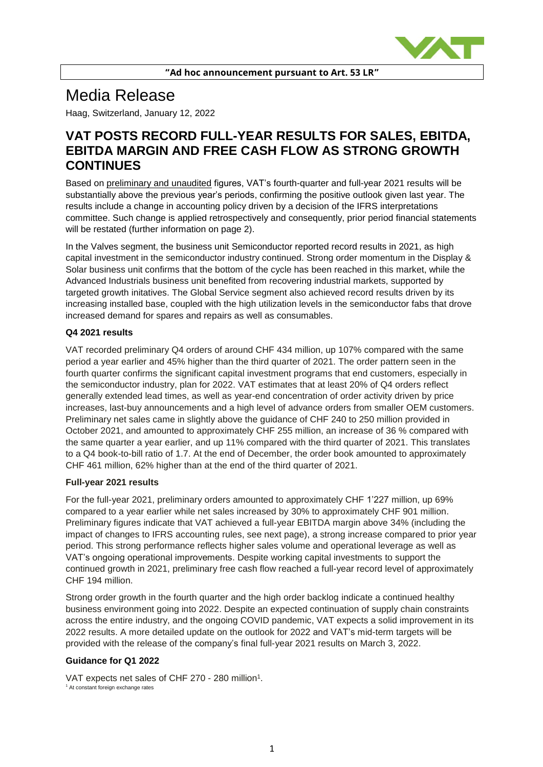

# Media Release

Haag, Switzerland, January 12, 2022

## **VAT POSTS RECORD FULL-YEAR RESULTS FOR SALES, EBITDA, EBITDA MARGIN AND FREE CASH FLOW AS STRONG GROWTH CONTINUES**

Based on preliminary and unaudited figures, VAT's fourth-quarter and full-year 2021 results will be substantially above the previous year's periods, confirming the positive outlook given last year. The results include a change in accounting policy driven by a decision of the IFRS interpretations committee. Such change is applied retrospectively and consequently, prior period financial statements will be restated (further information on page 2).

In the Valves segment, the business unit Semiconductor reported record results in 2021, as high capital investment in the semiconductor industry continued. Strong order momentum in the Display & Solar business unit confirms that the bottom of the cycle has been reached in this market, while the Advanced Industrials business unit benefited from recovering industrial markets, supported by targeted growth initatives. The Global Service segment also achieved record results driven by its increasing installed base, coupled with the high utilization levels in the semiconductor fabs that drove increased demand for spares and repairs as well as consumables.

### **Q4 2021 results**

VAT recorded preliminary Q4 orders of around CHF 434 million, up 107% compared with the same period a year earlier and 45% higher than the third quarter of 2021. The order pattern seen in the fourth quarter confirms the significant capital investment programs that end customers, especially in the semiconductor industry, plan for 2022. VAT estimates that at least 20% of Q4 orders reflect generally extended lead times, as well as year-end concentration of order activity driven by price increases, last-buy announcements and a high level of advance orders from smaller OEM customers. Preliminary net sales came in slightly above the guidance of CHF 240 to 250 million provided in October 2021, and amounted to approximately CHF 255 million, an increase of 36 % compared with the same quarter a year earlier, and up 11% compared with the third quarter of 2021. This translates to a Q4 book-to-bill ratio of 1.7. At the end of December, the order book amounted to approximately CHF 461 million, 62% higher than at the end of the third quarter of 2021.

### **Full-year 2021 results**

For the full-year 2021, preliminary orders amounted to approximately CHF 1'227 million, up 69% compared to a year earlier while net sales increased by 30% to approximately CHF 901 million. Preliminary figures indicate that VAT achieved a full-year EBITDA margin above 34% (including the impact of changes to IFRS accounting rules, see next page), a strong increase compared to prior year period. This strong performance reflects higher sales volume and operational leverage as well as VAT's ongoing operational improvements. Despite working capital investments to support the continued growth in 2021, preliminary free cash flow reached a full-year record level of approximately CHF 194 million.

Strong order growth in the fourth quarter and the high order backlog indicate a continued healthy business environment going into 2022. Despite an expected continuation of supply chain constraints across the entire industry, and the ongoing COVID pandemic, VAT expects a solid improvement in its 2022 results. A more detailed update on the outlook for 2022 and VAT's mid-term targets will be provided with the release of the company's final full-year 2021 results on March 3, 2022.

### **Guidance for Q1 2022**

VAT expects net sales of CHF 270 - 280 million<sup>1</sup>. <sup>1</sup> At constant foreign exchange rates